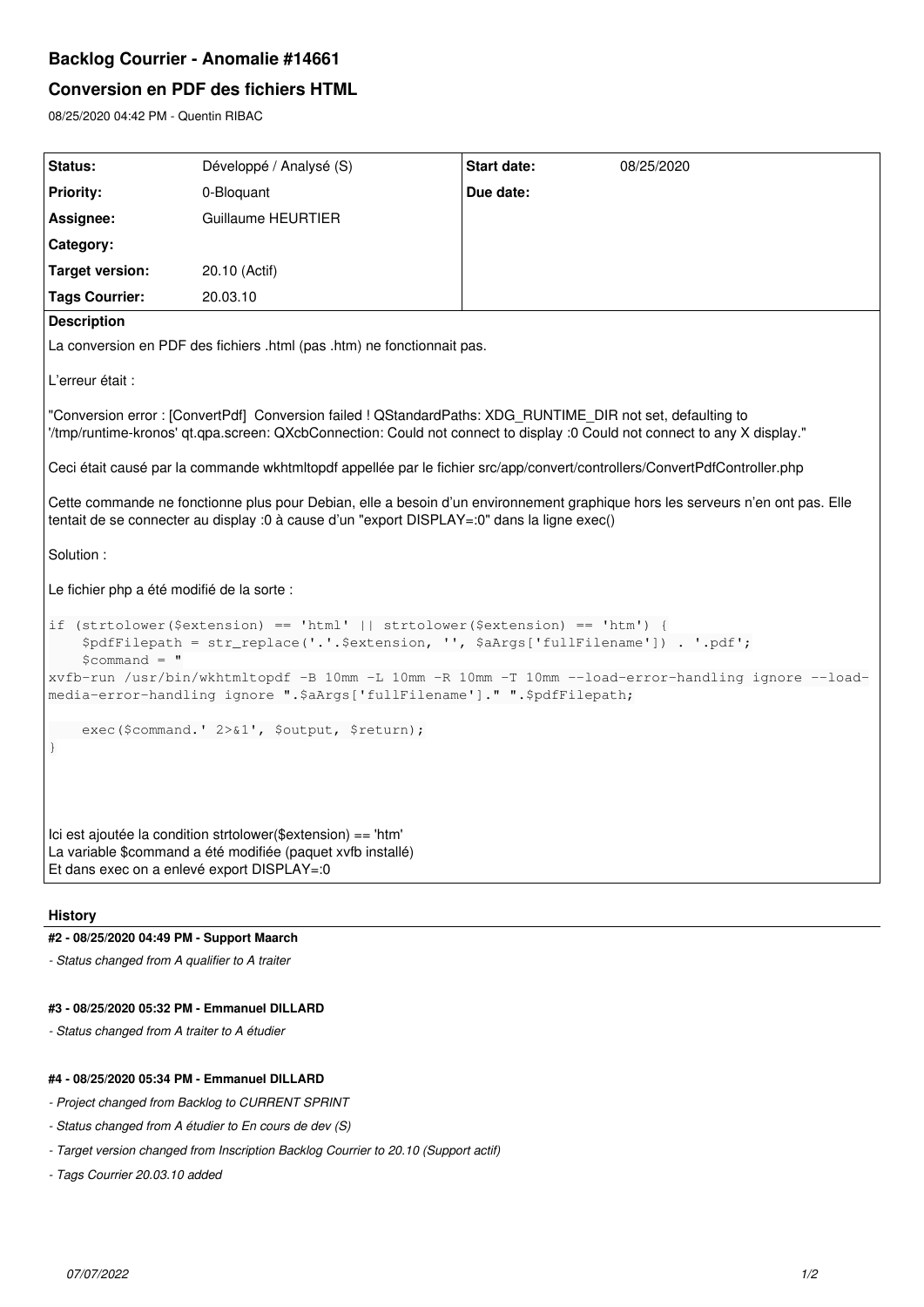# **Backlog Courrier - Anomalie #14661**

## **Conversion en PDF des fichiers HTML**

08/25/2020 04:42 PM - Quentin RIBAC

| <b>Status:</b>                                                                                                                                                                                                                          | Développé / Analysé (S) | <b>Start date:</b> | 08/25/2020 |
|-----------------------------------------------------------------------------------------------------------------------------------------------------------------------------------------------------------------------------------------|-------------------------|--------------------|------------|
| <b>Priority:</b>                                                                                                                                                                                                                        | 0-Bloquant              | Due date:          |            |
| Assignee:                                                                                                                                                                                                                               | Guillaume HEURTIER      |                    |            |
| Category:                                                                                                                                                                                                                               |                         |                    |            |
| <b>Target version:</b>                                                                                                                                                                                                                  | 20.10 (Actif)           |                    |            |
| <b>Tags Courrier:</b>                                                                                                                                                                                                                   | 20.03.10                |                    |            |
| <b>Description</b>                                                                                                                                                                                                                      |                         |                    |            |
| La conversion en PDF des fichiers .html (pas .htm) ne fonctionnait pas.                                                                                                                                                                 |                         |                    |            |
| L'erreur était :                                                                                                                                                                                                                        |                         |                    |            |
| "Conversion error: [ConvertPdf] Conversion failed ! QStandardPaths: XDG RUNTIME DIR not set, defaulting to<br>"/tmp/runtime-kronos' qt.qpa.screen: QXcbConnection: Could not connect to display :0 Could not connect to any X display." |                         |                    |            |
| Ceci était causé par la commande wkhtmltopdf appellée par le fichier src/app/convert/controllers/ConvertPdfController.php                                                                                                               |                         |                    |            |
| Cette commande ne fonctionne plus pour Debian, elle a besoin d'un environnement graphique hors les serveurs n'en ont pas. Elle<br>tentait de se connecter au display :0 à cause d'un "export DISPLAY=:0" dans la ligne exec()           |                         |                    |            |
| Solution:                                                                                                                                                                                                                               |                         |                    |            |
| Le fichier php a été modifié de la sorte :                                                                                                                                                                                              |                         |                    |            |
| if (strtolower(\$extension) == 'html'    strtolower(\$extension) == 'htm') {<br>\$pdfFilepath = str_replace('.'.\$extension, '', \$aArqs['fullFilename']) . '.pdf';<br>$Scommand = "$                                                   |                         |                    |            |
| xvfb-run /usr/bin/wkhtmltopdf -B 10mm -L 10mm -R 10mm -T 10mm --load-error-handling ignore --load-<br>media-error-handling ignore ".\$aArgs['fullFilename']." ".\$pdfFilepath;                                                          |                         |                    |            |
| exec (\$command. ' 2>&1', \$output, \$return);                                                                                                                                                                                          |                         |                    |            |
| lci est ajoutée la condition strtolower(\$extension) == 'htm'<br>La variable \$command a été modifiée (paquet xvfb installé)<br>Et dans exec on a enlevé export DISPLAY=:0                                                              |                         |                    |            |

#### **History**

#### **#2 - 08/25/2020 04:49 PM - Support Maarch**

*- Status changed from A qualifier to A traiter*

#### **#3 - 08/25/2020 05:32 PM - Emmanuel DILLARD**

*- Status changed from A traiter to A étudier*

## **#4 - 08/25/2020 05:34 PM - Emmanuel DILLARD**

- *Project changed from Backlog to CURRENT SPRINT*
- *Status changed from A étudier to En cours de dev (S)*
- *Target version changed from Inscription Backlog Courrier to 20.10 (Support actif)*
- *Tags Courrier 20.03.10 added*